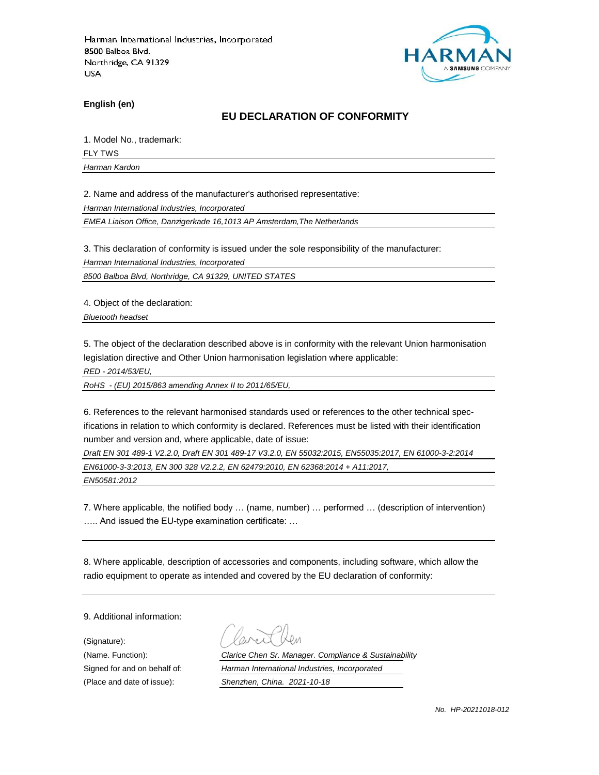

**English (en)**

#### **EU DECLARATION OF CONFORMITY**

1. Model No., trademark:

FLY TWS

*Harman Kardon*

2. Name and address of the manufacturer's authorised representative:

*Harman International Industries, Incorporated*

*EMEA Liaison Office, Danzigerkade 16,1013 AP Amsterdam,The Netherlands*

3. This declaration of conformity is issued under the sole responsibility of the manufacturer:

*Harman International Industries, Incorporated*

*8500 Balboa Blvd, Northridge, CA 91329, UNITED STATES*

4. Object of the declaration:

*Bluetooth headset*

5. The object of the declaration described above is in conformity with the relevant Union harmonisation legislation directive and Other Union harmonisation legislation where applicable:

*RED - 2014/53/EU,*

*RoHS - (EU) 2015/863 amending Annex II to 2011/65/EU,*

6. References to the relevant harmonised standards used or references to the other technical specifications in relation to which conformity is declared. References must be listed with their identification number and version and, where applicable, date of issue:

*Draft EN 301 489-1 V2.2.0, Draft EN 301 489-17 V3.2.0, EN 55032:2015, EN55035:2017, EN 61000-3-2:2014 EN61000-3-3:2013, EN 300 328 V2.2.2, EN 62479:2010, EN 62368:2014 + A11:2017,* 

*EN50581:2012*

7. Where applicable, the notified body … (name, number) … performed … (description of intervention) ….. And issued the EU-type examination certificate: …

8. Where applicable, description of accessories and components, including software, which allow the radio equipment to operate as intended and covered by the EU declaration of conformity:

9. Additional information:

(Signature):

(Name. Function): *Clarice Chen Sr. Manager. Compliance & Sustainability* Signed for and on behalf of: *Harman International Industries, Incorporated* (Place and date of issue): *Shenzhen, China. 2021-10-18*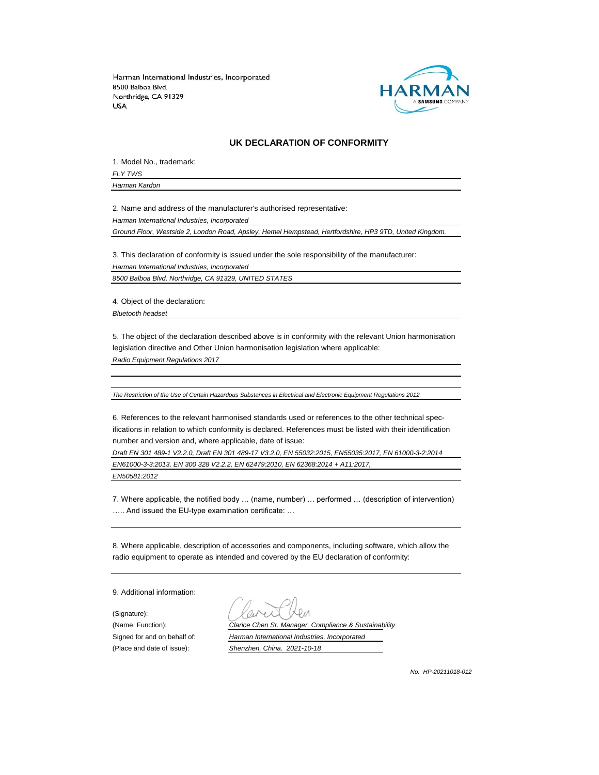

#### **UK DECLARATION OF CONFORMITY**

1. Model No., trademark:

*FLY TWS Harman Kardon*

2. Name and address of the manufacturer's authorised representative:

*Harman International Industries, Incorporated*

*Ground Floor, Westside 2, London Road, Apsley, Hemel Hempstead, Hertfordshire, HP3 9TD, United Kingdom.*

3. This declaration of conformity is issued under the sole responsibility of the manufacturer: *Harman International Industries, Incorporated 8500 Balboa Blvd, Northridge, CA 91329, UNITED STATES*

4. Object of the declaration:

*Bluetooth headset*

5. The object of the declaration described above is in conformity with the relevant Union harmonisation legislation directive and Other Union harmonisation legislation where applicable:

*Radio Equipment Regulations 2017*

*The Restriction of the Use of Certain Hazardous Substances in Electrical and Electronic Equipment Regulations 2012*

6. References to the relevant harmonised standards used or references to the other technical specifications in relation to which conformity is declared. References must be listed with their identification number and version and, where applicable, date of issue:

*Draft EN 301 489-1 V2.2.0, Draft EN 301 489-17 V3.2.0, EN 55032:2015, EN55035:2017, EN 61000-3-2:2014 EN61000-3-3:2013, EN 300 328 V2.2.2, EN 62479:2010, EN 62368:2014 + A11:2017, EN50581:2012*

7. Where applicable, the notified body … (name, number) … performed … (description of intervention) ….. And issued the EU-type examination certificate: …

8. Where applicable, description of accessories and components, including software, which allow the radio equipment to operate as intended and covered by the EU declaration of conformity:

9. Additional information:

(Signature):

(Name. Function): *Clarice Chen Sr. Manager. Compliance & Sustainability* Signed for and on behalf of: *Harman International Industries, Incorporated* (Place and date of issue): *Shenzhen, China. 2021-10-18*

*No. HP-20211018-012*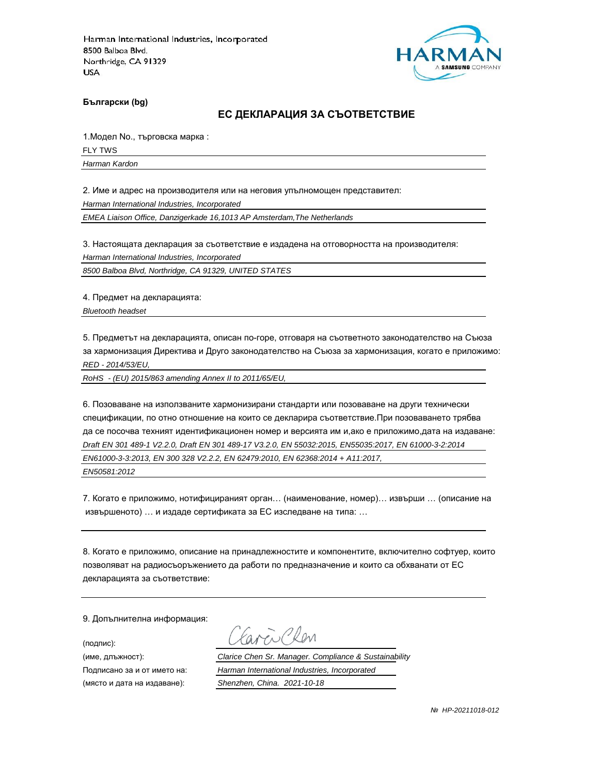

**Български (bg)**

#### **ЕС ДЕКЛАРАЦИЯ ЗА СЪОТВЕТСТВИЕ**

1.Модел No., търговска марка :

FLY TWS

*Harman Kardon*

2. Име и адрес на производителя или на неговия упълномощен представител:

*Harman International Industries, Incorporated*

*EMEA Liaison Office, Danzigerkade 16,1013 AP Amsterdam,The Netherlands*

3. Настоящата декларация за съответствие е издадена на отговорността на производителя:

*Harman International Industries, Incorporated*

*8500 Balboa Blvd, Northridge, CA 91329, UNITED STATES*

4. Предмет на декларацията:

*Bluetooth headset*

5. Предметът на декларацията, описан по-горе, отговаря на съответното законодателство на Съюза за хармонизация Директива и Друго законодателство на Съюза за хармонизация, когато е приложимо: *RED - 2014/53/EU,*

*RoHS - (EU) 2015/863 amending Annex II to 2011/65/EU,*

6. Позоваване на използваните хармонизирани стандарти или позоваване на други технически спецификации, по отно отношение на които се декларира съответствие.При позоваването трябва да се посочва техният идентификационен номер и версията им и,ако е приложимо,дата на издаване: *Draft EN 301 489-1 V2.2.0, Draft EN 301 489-17 V3.2.0, EN 55032:2015, EN55035:2017, EN 61000-3-2:2014 EN61000-3-3:2013, EN 300 328 V2.2.2, EN 62479:2010, EN 62368:2014 + A11:2017, EN50581:2012*

7. Когато е приложимо, нотифицираният орган… (наименование, номер)… извърши … (описание на извършеното) … и издаде сертификата за ЕС изследване на типа: …

8. Когато е приложимо, описание на принадлежностите и компонентите, включително софтуер, които позволяват на радиосъоръжението да работи по предназначение и които са обхванати от ЕС декларацията за съответствие:

9. Допълнителна информация:

(подпис):

(място и дата на издаване): *Shenzhen, China. 2021-10-18*

aren Chen

(име, длъжност): *Clarice Chen Sr. Manager. Compliance & Sustainability*

Подписано за и от името на: *Harman International Industries, Incorporated*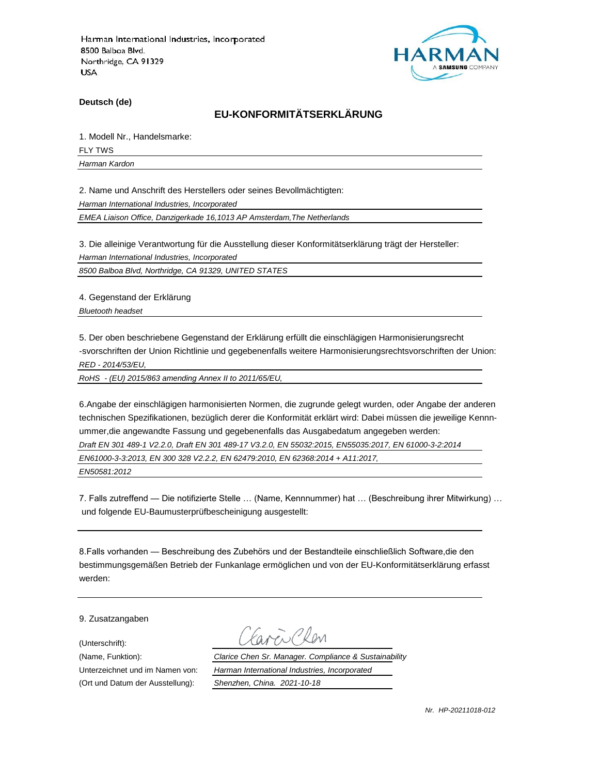

**Deutsch (de)**

## **EU-KONFORMITÄTSERKLÄRUNG**

1. Modell Nr., Handelsmarke:

FLY TWS

*Harman Kardon*

2. Name und Anschrift des Herstellers oder seines Bevollmächtigten:

*Harman International Industries, Incorporated*

*EMEA Liaison Office, Danzigerkade 16,1013 AP Amsterdam,The Netherlands*

3. Die alleinige Verantwortung für die Ausstellung dieser Konformitätserklärung trägt der Hersteller:

*Harman International Industries, Incorporated*

*8500 Balboa Blvd, Northridge, CA 91329, UNITED STATES*

4. Gegenstand der Erklärung

*Bluetooth headset*

5. Der oben beschriebene Gegenstand der Erklärung erfüllt die einschlägigen Harmonisierungsrecht -svorschriften der Union Richtlinie und gegebenenfalls weitere Harmonisierungsrechtsvorschriften der Union: *RED - 2014/53/EU,*

*RoHS - (EU) 2015/863 amending Annex II to 2011/65/EU,*

6.Angabe der einschlägigen harmonisierten Normen, die zugrunde gelegt wurden, oder Angabe der anderen technischen Spezifikationen, bezüglich derer die Konformität erklärt wird: Dabei müssen die jeweilige Kennnummer,die angewandte Fassung und gegebenenfalls das Ausgabedatum angegeben werden: *Draft EN 301 489-1 V2.2.0, Draft EN 301 489-17 V3.2.0, EN 55032:2015, EN55035:2017, EN 61000-3-2:2014 EN61000-3-3:2013, EN 300 328 V2.2.2, EN 62479:2010, EN 62368:2014 + A11:2017, EN50581:2012*

7. Falls zutreffend — Die notifizierte Stelle … (Name, Kennnummer) hat … (Beschreibung ihrer Mitwirkung) … und folgende EU-Baumusterprüfbescheinigung ausgestellt:

8.Falls vorhanden — Beschreibung des Zubehörs und der Bestandteile einschließlich Software,die den bestimmungsgemäßen Betrieb der Funkanlage ermöglichen und von der EU-Konformitätserklärung erfasst werden:

9. Zusatzangaben

(Unterschrift):

(Name, Funktion): *Clarice Chen Sr. Manager. Compliance & Sustainability* Unterzeichnet und im Namen von: *Harman International Industries, Incorporated* (Ort und Datum der Ausstellung): *Shenzhen, China. 2021-10-18*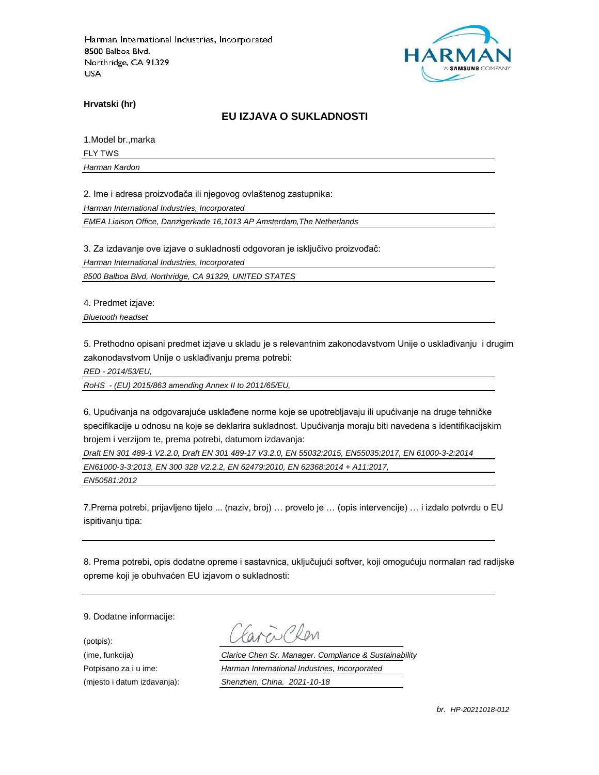

**Hrvatski (hr)**

### **EU IZJAVA O SUKLADNOSTI**

1.Model br.,marka FLY TWS

*Harman Kardon*

2. Ime i adresa proizvođača ili njegovog ovlaštenog zastupnika:

*Harman International Industries, Incorporated*

*EMEA Liaison Office, Danzigerkade 16,1013 AP Amsterdam,The Netherlands*

3. Za izdavanje ove izjave o sukladnosti odgovoran je isključivo proizvođač:

*Harman International Industries, Incorporated*

*8500 Balboa Blvd, Northridge, CA 91329, UNITED STATES*

4. Predmet izjave:

*Bluetooth headset*

5. Prethodno opisani predmet izjave u skladu je s relevantnim zakonodavstvom Unije o usklađivanju i drugim zakonodavstvom Unije o usklađivanju prema potrebi:

*RED - 2014/53/EU,*

*RoHS - (EU) 2015/863 amending Annex II to 2011/65/EU,*

6. Upućivanja na odgovarajuće usklađene norme koje se upotrebljavaju ili upućivanje na druge tehničke specifikacije u odnosu na koje se deklarira sukladnost. Upućivanja moraju biti navedena s identifikacijskim brojem i verzijom te, prema potrebi, datumom izdavanja:

*Draft EN 301 489-1 V2.2.0, Draft EN 301 489-17 V3.2.0, EN 55032:2015, EN55035:2017, EN 61000-3-2:2014 EN61000-3-3:2013, EN 300 328 V2.2.2, EN 62479:2010, EN 62368:2014 + A11:2017,* 

*EN50581:2012*

7.Prema potrebi, prijavljeno tijelo ... (naziv, broj) … provelo je … (opis intervencije) … i izdalo potvrdu o EU ispitivanju tipa:

8. Prema potrebi, opis dodatne opreme i sastavnica, uključujući softver, koji omogućuju normalan rad radijske opreme koji je obuhvaćen EU izjavom o sukladnosti:

9. Dodatne informacije:

(potpis):

(ime, funkcija) *Clarice Chen Sr. Manager. Compliance & Sustainability* Potpisano za i u ime: *Harman International Industries, Incorporated* (mjesto i datum izdavanja): *Shenzhen, China. 2021-10-18*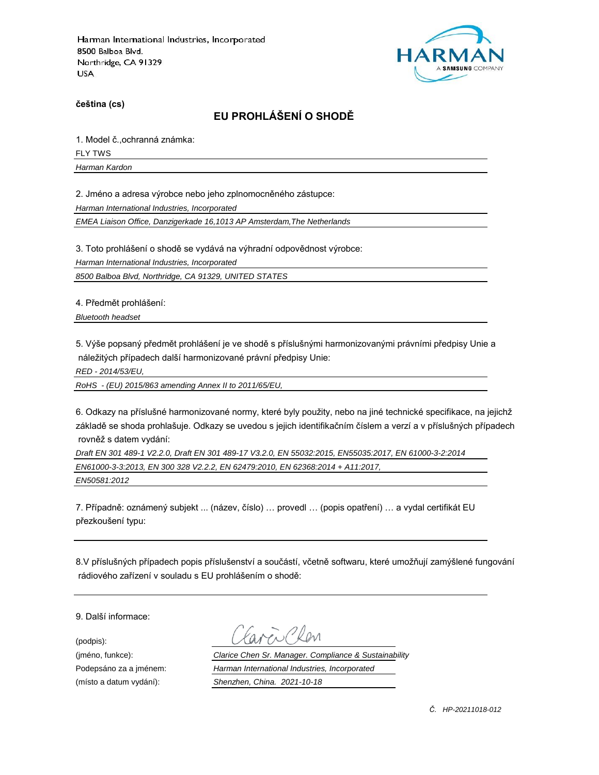

**čeština (cs)**

# **EU PROHLÁŠENÍ O SHODĚ**

1. Model č.,ochranná známka: FLY TWS

*Harman Kardon*

2. Jméno a adresa výrobce nebo jeho zplnomocněného zástupce:

*Harman International Industries, Incorporated*

*EMEA Liaison Office, Danzigerkade 16,1013 AP Amsterdam,The Netherlands*

3. Toto prohlášení o shodě se vydává na výhradní odpovědnost výrobce:

*Harman International Industries, Incorporated*

*8500 Balboa Blvd, Northridge, CA 91329, UNITED STATES*

4. Předmět prohlášení:

*Bluetooth headset*

5. Výše popsaný předmět prohlášení je ve shodě s příslušnými harmonizovanými právními předpisy Unie a náležitých případech další harmonizované právní předpisy Unie:

*RED - 2014/53/EU,*

*RoHS - (EU) 2015/863 amending Annex II to 2011/65/EU,*

6. Odkazy na příslušné harmonizované normy, které byly použity, nebo na jiné technické specifikace, na jejichž základě se shoda prohlašuje. Odkazy se uvedou s jejich identifikačním číslem a verzí a v příslušných případech rovněž s datem vydání:

*Draft EN 301 489-1 V2.2.0, Draft EN 301 489-17 V3.2.0, EN 55032:2015, EN55035:2017, EN 61000-3-2:2014 EN61000-3-3:2013, EN 300 328 V2.2.2, EN 62479:2010, EN 62368:2014 + A11:2017, EN50581:2012*

7. Případně: oznámený subjekt ... (název, číslo) … provedl … (popis opatření) … a vydal certifikát EU přezkoušení typu:

8.V příslušných případech popis příslušenství a součástí, včetně softwaru, které umožňují zamýšlené fungování rádiového zařízení v souladu s EU prohlášením o shodě:

9. Další informace:

(podpis):

(jméno, funkce): *Clarice Chen Sr. Manager. Compliance & Sustainability* Podepsáno za a jménem: *Harman International Industries, Incorporated* (místo a datum vydání): *Shenzhen, China. 2021-10-18*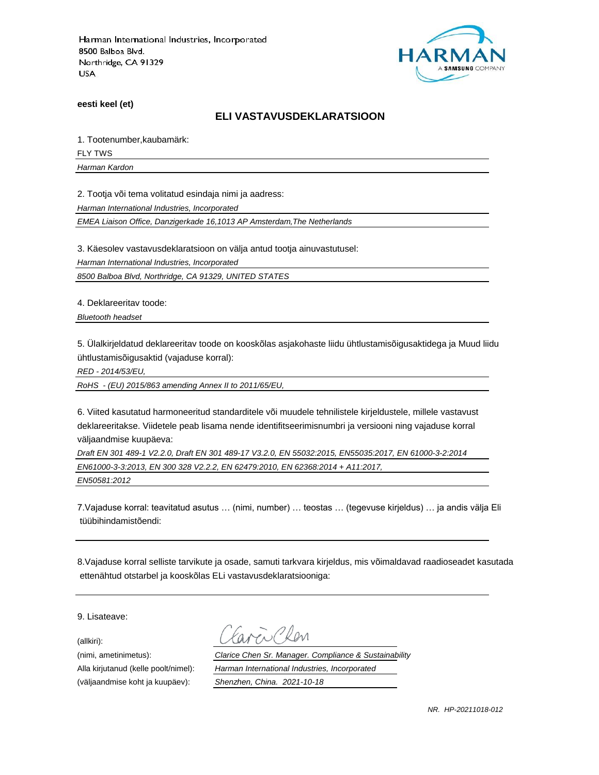

**eesti keel (et)**

#### **ELI VASTAVUSDEKLARATSIOON**

1. Tootenumber,kaubamärk:

FLY TWS

*Harman Kardon*

2. Tootja või tema volitatud esindaja nimi ja aadress:

*Harman International Industries, Incorporated*

*EMEA Liaison Office, Danzigerkade 16,1013 AP Amsterdam,The Netherlands*

3. Käesolev vastavusdeklaratsioon on välja antud tootja ainuvastutusel:

*Harman International Industries, Incorporated*

*8500 Balboa Blvd, Northridge, CA 91329, UNITED STATES*

4. Deklareeritav toode:

*Bluetooth headset*

5. Ülalkirjeldatud deklareeritav toode on kooskõlas asjakohaste liidu ühtlustamisõigusaktidega ja Muud liidu ühtlustamisõigusaktid (vajaduse korral):

*RED - 2014/53/EU,*

*RoHS - (EU) 2015/863 amending Annex II to 2011/65/EU,*

6. Viited kasutatud harmoneeritud standarditele või muudele tehnilistele kirjeldustele, millele vastavust deklareeritakse. Viidetele peab lisama nende identifitseerimisnumbri ja versiooni ning vajaduse korral väljaandmise kuupäeva:

*Draft EN 301 489-1 V2.2.0, Draft EN 301 489-17 V3.2.0, EN 55032:2015, EN55035:2017, EN 61000-3-2:2014 EN61000-3-3:2013, EN 300 328 V2.2.2, EN 62479:2010, EN 62368:2014 + A11:2017, EN50581:2012*

7.Vajaduse korral: teavitatud asutus … (nimi, number) … teostas … (tegevuse kirjeldus) … ja andis välja Eli tüübihindamistõendi:

8.Vajaduse korral selliste tarvikute ja osade, samuti tarkvara kirjeldus, mis võimaldavad raadioseadet kasutada ettenähtud otstarbel ja kooskõlas ELi vastavusdeklaratsiooniga:

9. Lisateave:

(allkiri):

(nimi, ametinimetus): *Clarice Chen Sr. Manager. Compliance & Sustainability* Alla kirjutanud (kelle poolt/nimel): *Harman International Industries, Incorporated* (väljaandmise koht ja kuupäev): *Shenzhen, China. 2021-10-18*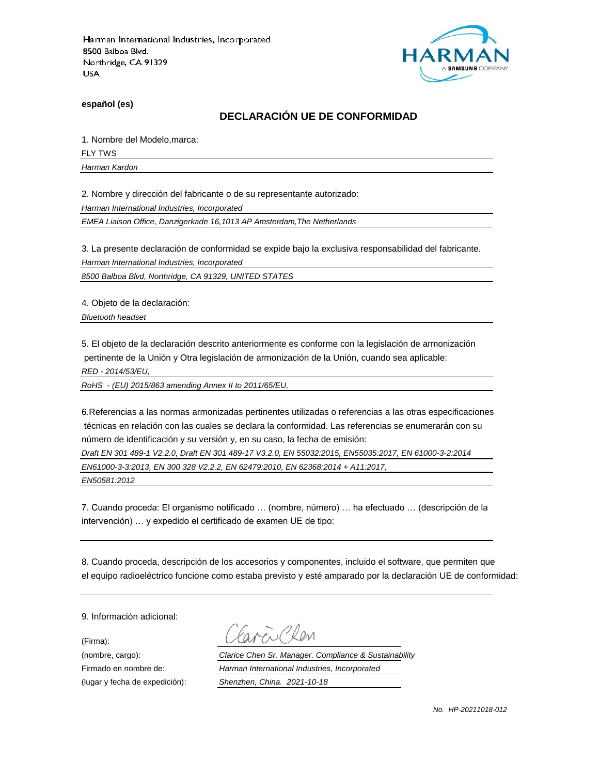

**español (es)**

### **DECLARACIÓN UE DE CONFORMIDAD**

1. Nombre del Modelo,marca:

FLY TWS

*Harman Kardon*

2. Nombre y dirección del fabricante o de su representante autorizado:

*Harman International Industries, Incorporated*

*EMEA Liaison Office, Danzigerkade 16,1013 AP Amsterdam,The Netherlands*

3. La presente declaración de conformidad se expide bajo la exclusiva responsabilidad del fabricante.

*Harman International Industries, Incorporated*

*8500 Balboa Blvd, Northridge, CA 91329, UNITED STATES*

4. Objeto de la declaración:

*Bluetooth headset*

5. El objeto de la declaración descrito anteriormente es conforme con la legislación de armonización pertinente de la Unión y Otra legislación de armonización de la Unión, cuando sea aplicable:

*RED - 2014/53/EU,*

*RoHS - (EU) 2015/863 amending Annex II to 2011/65/EU,*

6.Referencias a las normas armonizadas pertinentes utilizadas o referencias a las otras especificaciones técnicas en relación con las cuales se declara la conformidad. Las referencias se enumerarán con su número de identificación y su versión y, en su caso, la fecha de emisión:

*Draft EN 301 489-1 V2.2.0, Draft EN 301 489-17 V3.2.0, EN 55032:2015, EN55035:2017, EN 61000-3-2:2014 EN61000-3-3:2013, EN 300 328 V2.2.2, EN 62479:2010, EN 62368:2014 + A11:2017,* 

*EN50581:2012*

7. Cuando proceda: El organismo notificado … (nombre, número) … ha efectuado … (descripción de la intervención) … y expedido el certificado de examen UE de tipo:

8. Cuando proceda, descripción de los accesorios y componentes, incluido el software, que permiten que el equipo radioeléctrico funcione como estaba previsto y esté amparado por la declaración UE de conformidad:

9. Información adicional:

(Firma):

Plen

(nombre, cargo): *Clarice Chen Sr. Manager. Compliance & Sustainability* Firmado en nombre de: *Harman International Industries, Incorporated* (lugar y fecha de expedición): *Shenzhen, China. 2021-10-18*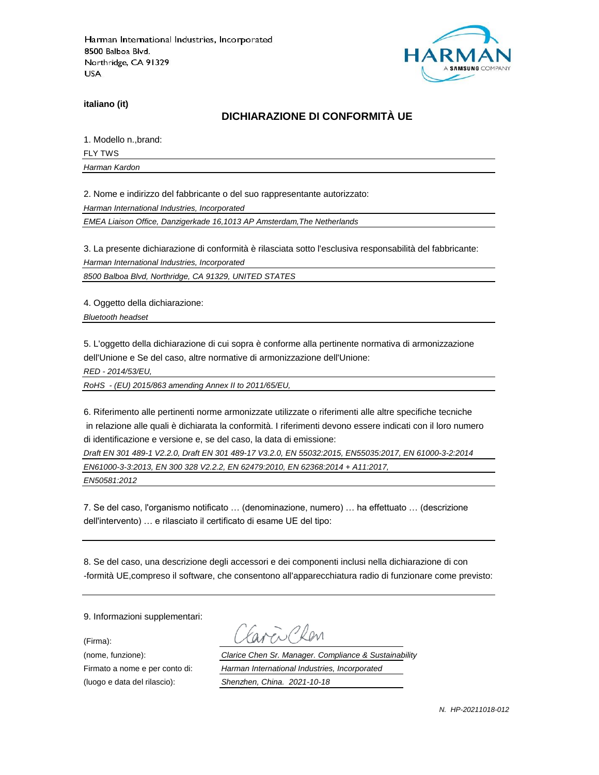

**italiano (it)**

## **DICHIARAZIONE DI CONFORMITÀ UE**

1. Modello n.,brand:

FLY TWS

*Harman Kardon*

2. Nome e indirizzo del fabbricante o del suo rappresentante autorizzato:

*Harman International Industries, Incorporated*

*EMEA Liaison Office, Danzigerkade 16,1013 AP Amsterdam,The Netherlands*

3. La presente dichiarazione di conformità è rilasciata sotto l'esclusiva responsabilità del fabbricante:

*Harman International Industries, Incorporated*

*8500 Balboa Blvd, Northridge, CA 91329, UNITED STATES*

4. Oggetto della dichiarazione:

*Bluetooth headset*

5. L'oggetto della dichiarazione di cui sopra è conforme alla pertinente normativa di armonizzazione dell'Unione e Se del caso, altre normative di armonizzazione dell'Unione:

*RED - 2014/53/EU,*

*RoHS - (EU) 2015/863 amending Annex II to 2011/65/EU,*

6. Riferimento alle pertinenti norme armonizzate utilizzate o riferimenti alle altre specifiche tecniche in relazione alle quali è dichiarata la conformità. I riferimenti devono essere indicati con il loro numero di identificazione e versione e, se del caso, la data di emissione:

*Draft EN 301 489-1 V2.2.0, Draft EN 301 489-17 V3.2.0, EN 55032:2015, EN55035:2017, EN 61000-3-2:2014 EN61000-3-3:2013, EN 300 328 V2.2.2, EN 62479:2010, EN 62368:2014 + A11:2017,* 

*EN50581:2012*

7. Se del caso, l'organismo notificato … (denominazione, numero) … ha effettuato … (descrizione dell'intervento) … e rilasciato il certificato di esame UE del tipo:

8. Se del caso, una descrizione degli accessori e dei componenti inclusi nella dichiarazione di con -formità UE,compreso il software, che consentono all'apparecchiatura radio di funzionare come previsto:

9. Informazioni supplementari:

(Firma):

i Clan

(nome, funzione): *Clarice Chen Sr. Manager. Compliance & Sustainability* Firmato a nome e per conto di: *Harman International Industries, Incorporated* (luogo e data del rilascio): *Shenzhen, China. 2021-10-18*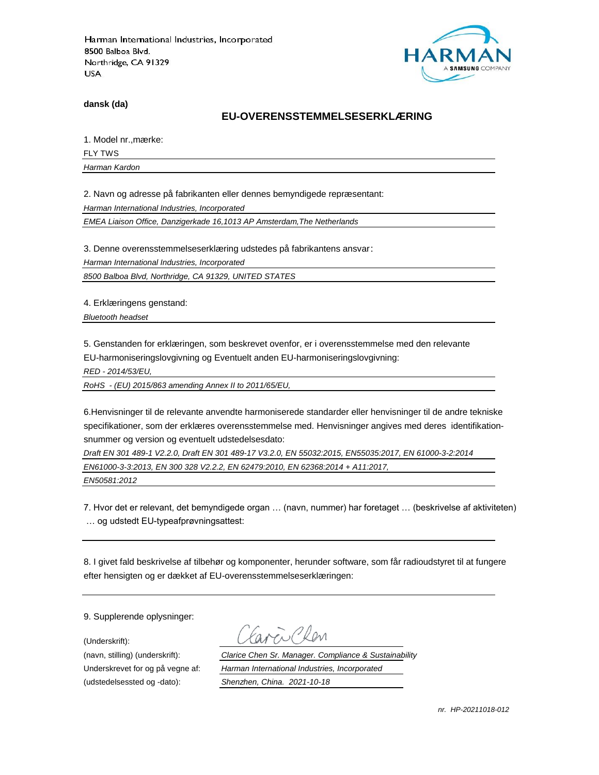

**dansk (da)**

#### **EU-OVERENSSTEMMELSESERKLÆ RING**

1. Model nr., mærke:

FLY TWS

*Harman Kardon*

2. Navn og adresse på fabrikanten eller dennes bemyndigede repræ sentant:

*Harman International Industries, Incorporated*

*EMEA Liaison Office, Danzigerkade 16,1013 AP Amsterdam,The Netherlands*

3. Denne overensstemmelseserklæring udstedes på fabrikantens ansvar:

*Harman International Industries, Incorporated*

*8500 Balboa Blvd, Northridge, CA 91329, UNITED STATES*

4. Erklæringens genstand:

*Bluetooth headset*

5. Genstanden for erklæringen, som beskrevet ovenfor, er i overensstemmelse med den relevante EU-harmoniseringslovgivning og Eventuelt anden EU-harmoniseringslovgivning:

*RED - 2014/53/EU,*

*RoHS - (EU) 2015/863 amending Annex II to 2011/65/EU,*

6.Henvisninger til de relevante anvendte harmoniserede standarder eller henvisninger til de andre tekniske specifikationer, som der erklæres overensstemmelse med. Henvisninger angives med deres identifikationsnummer og version og eventuelt udstedelsesdato:

*Draft EN 301 489-1 V2.2.0, Draft EN 301 489-17 V3.2.0, EN 55032:2015, EN55035:2017, EN 61000-3-2:2014 EN61000-3-3:2013, EN 300 328 V2.2.2, EN 62479:2010, EN 62368:2014 + A11:2017,* 

*EN50581:2012*

7. Hvor det er relevant, det bemyndigede organ … (navn, nummer) har foretaget … (beskrivelse af aktiviteten) … og udstedt EU-typeafprøvningsattest:

8. I givet fald beskrivelse af tilbehør og komponenter, herunder software, som får radioudstyret til at fungere efter hensigten og er dækket af EU-overensstemmelseserklæringen:

9. Supplerende oplysninger:

(Underskrift):

(udstedelsessted og -dato): *Shenzhen, China. 2021-10-18*

(navn, stilling) (underskrift): *Clarice Chen Sr. Manager. Compliance & Sustainability* Underskrevet for og på vegne af: *Harman International Industries, Incorporated*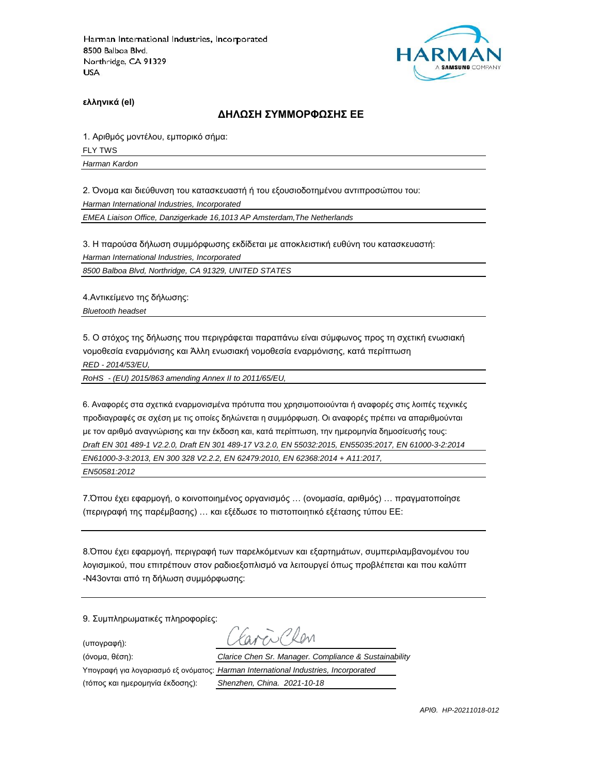

**ελληνικά (el)**

#### **ΔΗΛΩΣΗ ΣΥΜΜΟΡΦΩΣΗΣ ΕΕ**

1. Αριθμός μοντέλου, εμπορικό σήμα: FLY TWS

*Harman Kardon*

2. Όνομα και διεύθυνση του κατασκευαστή ή του εξουσιοδοτημένου αντιπροσώπου του:

*Harman International Industries, Incorporated*

*EMEA Liaison Office, Danzigerkade 16,1013 AP Amsterdam,The Netherlands*

3. Η παρούσα δήλωση συμμόρφωσης εκδίδεται με αποκλειστική ευθύνη του κατασκευαστή:

*Harman International Industries, Incorporated*

*8500 Balboa Blvd, Northridge, CA 91329, UNITED STATES*

4.Αντικείμενο της δήλωσης:

*Bluetooth headset*

5. Ο στόχος της δήλωσης που περιγράφεται παραπάνω είναι σύμφωνος προς τη σχετική ενωσιακή νομοθεσία εναρμόνισης και Άλλη ενωσιακή νομοθεσία εναρμόνισης, κατά περίπτωση

*RED - 2014/53/EU,*

*RoHS - (EU) 2015/863 amending Annex II to 2011/65/EU,*

6. Αναφορές στα σχετικά εναρμονισμένα πρότυπα που χρησιμοποιούνται ή αναφορές στις λοιπές τεχνικές προδιαγραφές σε σχέση με τις οποίες δηλώνεται η συμμόρφωση. Οι αναφορές πρέπει να απαριθμούνται με τον αριθμό αναγνώρισης και την έκδοση και, κατά περίπτωση, την ημερομηνία δημοσίευσής τους: *Draft EN 301 489-1 V2.2.0, Draft EN 301 489-17 V3.2.0, EN 55032:2015, EN55035:2017, EN 61000-3-2:2014 EN61000-3-3:2013, EN 300 328 V2.2.2, EN 62479:2010, EN 62368:2014 + A11:2017, EN50581:2012*

7.Όπου έχει εφαρμογή, ο κοινοποιημένος οργανισμός … (ονομασία, αριθμός) … πραγματοποίησε (περιγραφή της παρέμβασης) … και εξέδωσε το πιστοποιητικό εξέτασης τύπου ΕΕ:

8.Όπου έχει εφαρμογή, περιγραφή των παρελκόμενων και εξαρτημάτων, συμπεριλαμβανομένου του λογισμικού, που επιτρέπουν στον ραδιοεξοπλισμό να λειτουργεί όπως προβλέπεται και που καλύπτ -N43ονται από τη δήλωση συμμόρφωσης:

9. Συμπληρωματικές πληροφορίες:

(υπογραφή):

 $R_{\text{N}}$ (όνομα, θέση): *Clarice Chen Sr. Manager. Compliance & Sustainability* Υπογραφή για λογαριασμό εξ ονόματος: *Harman International Industries, Incorporated*

(τόπος και ημερομηνία έκδοσης): *Shenzhen, China. 2021-10-18*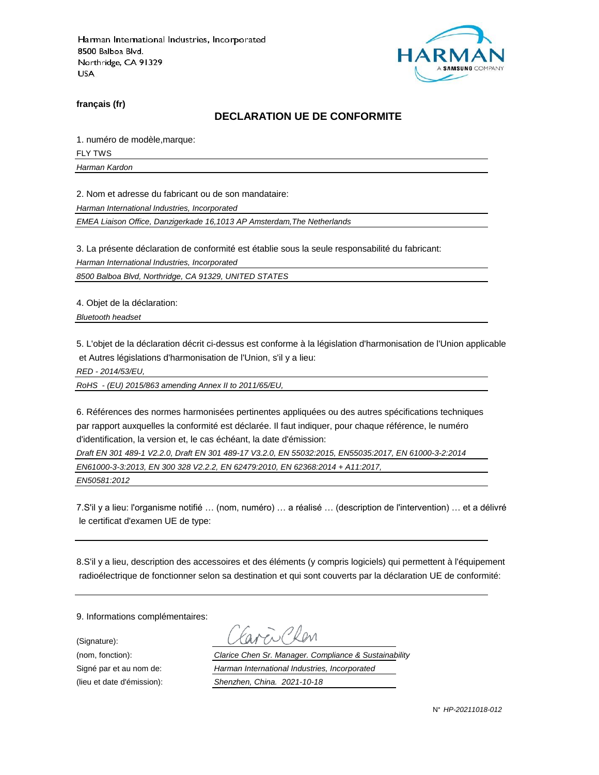

**français (fr)**

#### **DECLARATION UE DE CONFORMITE**

1. numéro de modèle,marque:

FLY TWS

*Harman Kardon*

2. Nom et adresse du fabricant ou de son mandataire:

*Harman International Industries, Incorporated*

*EMEA Liaison Office, Danzigerkade 16,1013 AP Amsterdam,The Netherlands*

3. La présente déclaration de conformité est établie sous la seule responsabilité du fabricant:

*Harman International Industries, Incorporated*

*8500 Balboa Blvd, Northridge, CA 91329, UNITED STATES*

4. Objet de la déclaration:

*Bluetooth headset*

5. L'objet de la déclaration décrit ci-dessus est conforme à la législation d'harmonisation de l'Union applicable et Autres législations d'harmonisation de l'Union, s'il y a lieu:

*RED - 2014/53/EU,*

*RoHS - (EU) 2015/863 amending Annex II to 2011/65/EU,*

6. Références des normes harmonisées pertinentes appliquées ou des autres spécifications techniques par rapport auxquelles la conformité est déclarée. Il faut indiquer, pour chaque référence, le numéro d'identification, la version et, le cas échéant, la date d'émission:

*Draft EN 301 489-1 V2.2.0, Draft EN 301 489-17 V3.2.0, EN 55032:2015, EN55035:2017, EN 61000-3-2:2014 EN61000-3-3:2013, EN 300 328 V2.2.2, EN 62479:2010, EN 62368:2014 + A11:2017,* 

*EN50581:2012*

7.S'il y a lieu: l'organisme notifié … (nom, numéro) … a réalisé … (description de l'intervention) … et a délivré le certificat d'examen UE de type:

8.S'il y a lieu, description des accessoires et des éléments (y compris logiciels) qui permettent à l'équipement radioélectrique de fonctionner selon sa destination et qui sont couverts par la déclaration UE de conformité:

9. Informations complémentaires:

(Signature):

(nom, fonction): *Clarice Chen Sr. Manager. Compliance & Sustainability* Signé par et au nom de: *Harman International Industries, Incorporated* (lieu et date d'émission): *Shenzhen, China. 2021-10-18*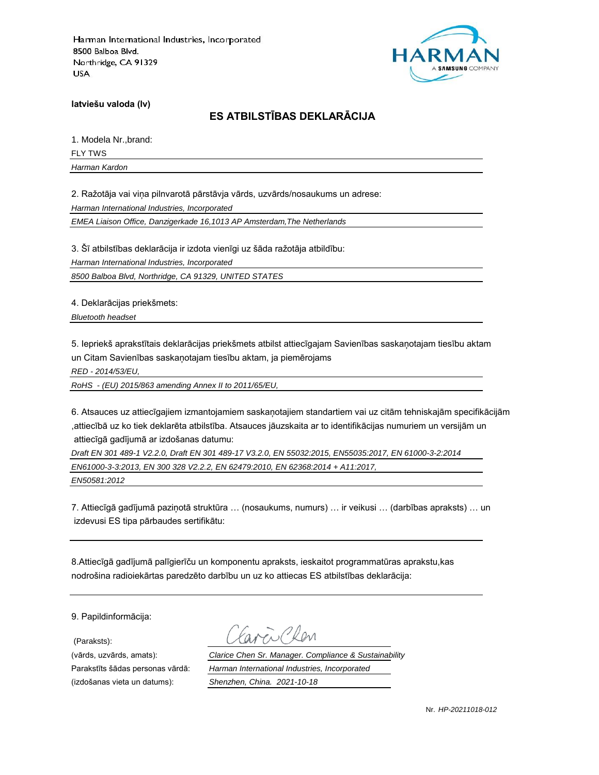

**latviešu valoda (lv)**

# **ES ATBILSTĪBAS DEKLARĀCIJA**

1. Modela Nr.,brand: FLY TWS

*Harman Kardon*

2. Ražotāja vai viņa pilnvarotā pārstāvja vārds, uzvārds/nosaukums un adrese:

*Harman International Industries, Incorporated*

*EMEA Liaison Office, Danzigerkade 16,1013 AP Amsterdam,The Netherlands*

3. Šī atbilstības deklarācija ir izdota vienīgi uz šāda ražotāja atbildību:

*Harman International Industries, Incorporated*

*8500 Balboa Blvd, Northridge, CA 91329, UNITED STATES*

4. Deklarācijas priekšmets:

*Bluetooth headset*

5. Iepriekš aprakstītais deklarācijas priekšmets atbilst attiecīgajam Savienības saskaņotajam tiesību aktam un Citam Savienības saskaņotajam tiesību aktam, ja piemērojams

*RED - 2014/53/EU,*

*RoHS - (EU) 2015/863 amending Annex II to 2011/65/EU,*

6. Atsauces uz attiecīgajiem izmantojamiem saskaņotajiem standartiem vai uz citām tehniskajām specifikācijām ,attiecībā uz ko tiek deklarēta atbilstība. Atsauces jāuzskaita ar to identifikācijas numuriem un versijām un attiecīgā gadījumā ar izdošanas datumu:

*Draft EN 301 489-1 V2.2.0, Draft EN 301 489-17 V3.2.0, EN 55032:2015, EN55035:2017, EN 61000-3-2:2014 EN61000-3-3:2013, EN 300 328 V2.2.2, EN 62479:2010, EN 62368:2014 + A11:2017, EN50581:2012*

7. Attiecīgā gadījumā paziņotā struktūra … (nosaukums, numurs) … ir veikusi … (darbības apraksts) … un izdevusi ES tipa pārbaudes sertifikātu:

8.Attiecīgā gadījumā palīgierīču un komponentu apraksts, ieskaitot programmatūras aprakstu,kas nodrošina radioiekārtas paredzēto darbību un uz ko attiecas ES atbilstības deklarācija:

9. Papildinformācija:

(Paraksts):

(vārds, uzvārds, amats): *Clarice Chen Sr. Manager. Compliance & Sustainability* Parakstīts šādas personas vārdā: *Harman International Industries, Incorporated* (izdošanas vieta un datums): *Shenzhen, China. 2021-10-18*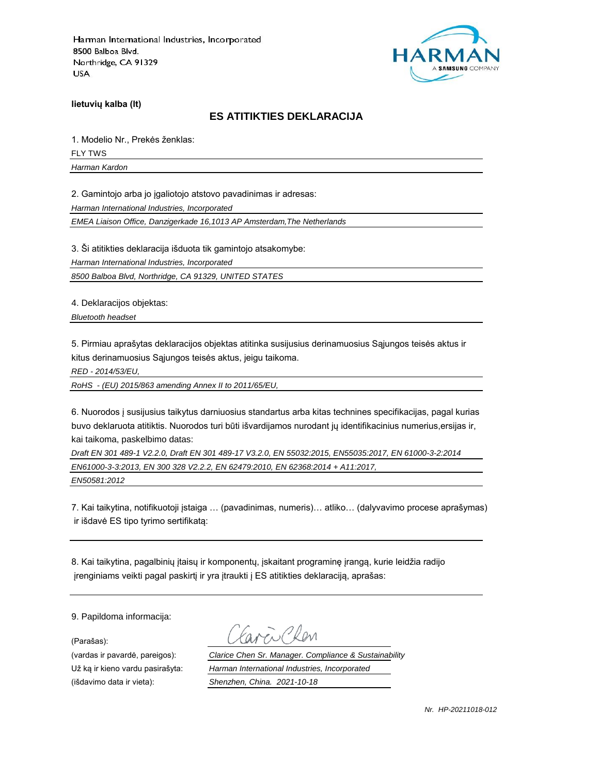

**lietuvių kalba (lt)**

#### **ES ATITIKTIES DEKLARACIJA**

1. Modelio Nr., Prekės ženklas: FLY TWS *Harman Kardon*

2. Gamintojo arba jo įgaliotojo atstovo pavadinimas ir adresas:

*Harman International Industries, Incorporated*

*EMEA Liaison Office, Danzigerkade 16,1013 AP Amsterdam,The Netherlands*

3. Ši atitikties deklaracija išduota tik gamintojo atsakomybe:

*Harman International Industries, Incorporated*

*8500 Balboa Blvd, Northridge, CA 91329, UNITED STATES*

4. Deklaracijos objektas:

*Bluetooth headset*

5. Pirmiau aprašytas deklaracijos objektas atitinka susijusius derinamuosius Sąjungos teisės aktus ir kitus derinamuosius Sąjungos teisės aktus, jeigu taikoma.

*RED - 2014/53/EU,*

*RoHS - (EU) 2015/863 amending Annex II to 2011/65/EU,*

6. Nuorodos į susijusius taikytus darniuosius standartus arba kitas technines specifikacijas, pagal kurias buvo deklaruota atitiktis. Nuorodos turi būti išvardijamos nurodant jų identifikacinius numerius,ersijas ir, kai taikoma, paskelbimo datas:

*Draft EN 301 489-1 V2.2.0, Draft EN 301 489-17 V3.2.0, EN 55032:2015, EN55035:2017, EN 61000-3-2:2014 EN61000-3-3:2013, EN 300 328 V2.2.2, EN 62479:2010, EN 62368:2014 + A11:2017, EN50581:2012*

7. Kai taikytina, notifikuotoji įstaiga … (pavadinimas, numeris)… atliko… (dalyvavimo procese aprašymas) ir išdavė ES tipo tyrimo sertifikatą:

8. Kai taikytina, pagalbinių įtaisų ir komponentų, įskaitant programinę įrangą, kurie leidžia radijo įrenginiams veikti pagal paskirtį ir yra įtraukti į ES atitikties deklaraciją, aprašas:

9. Papildoma informacija:

(Parašas):

(vardas ir pavardė, pareigos): *Clarice Chen Sr. Manager. Compliance & Sustainability* Už ką ir kieno vardu pasirašyta: *Harman International Industries, Incorporated* (išdavimo data ir vieta): *Shenzhen, China. 2021-10-18*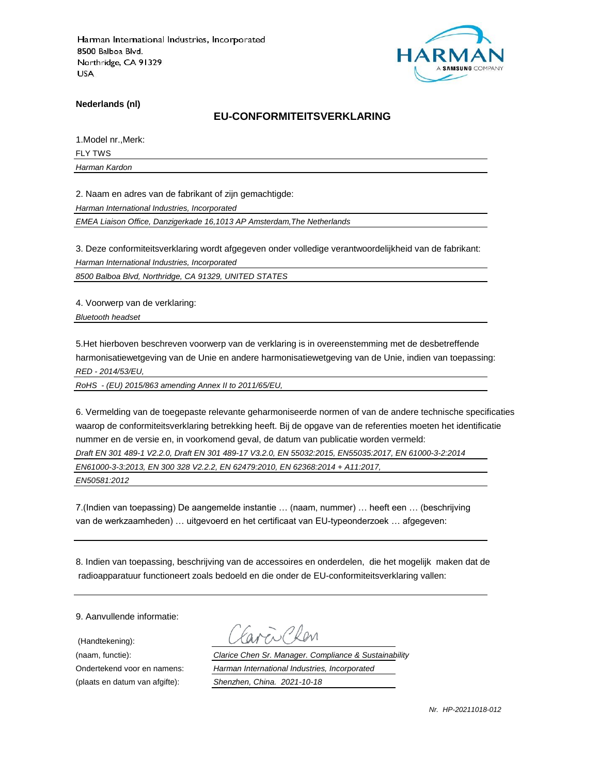

**Nederlands (nl)**

#### **EU-CONFORMITEITSVERKLARING**

1.Model nr.,Merk:

FLY TWS *Harman Kardon*

2. Naam en adres van de fabrikant of zijn gemachtigde:

*Harman International Industries, Incorporated*

*EMEA Liaison Office, Danzigerkade 16,1013 AP Amsterdam,The Netherlands*

3. Deze conformiteitsverklaring wordt afgegeven onder volledige verantwoordelijkheid van de fabrikant:

*Harman International Industries, Incorporated*

*8500 Balboa Blvd, Northridge, CA 91329, UNITED STATES*

4. Voorwerp van de verklaring:

*Bluetooth headset*

5.Het hierboven beschreven voorwerp van de verklaring is in overeenstemming met de desbetreffende harmonisatiewetgeving van de Unie en andere harmonisatiewetgeving van de Unie, indien van toepassing: *RED - 2014/53/EU,*

*RoHS - (EU) 2015/863 amending Annex II to 2011/65/EU,*

6. Vermelding van de toegepaste relevante geharmoniseerde normen of van de andere technische specificaties waarop de conformiteitsverklaring betrekking heeft. Bij de opgave van de referenties moeten het identificatie nummer en de versie en, in voorkomend geval, de datum van publicatie worden vermeld:

*Draft EN 301 489-1 V2.2.0, Draft EN 301 489-17 V3.2.0, EN 55032:2015, EN55035:2017, EN 61000-3-2:2014*

*EN61000-3-3:2013, EN 300 328 V2.2.2, EN 62479:2010, EN 62368:2014 + A11:2017,* 

*EN50581:2012*

7.(Indien van toepassing) De aangemelde instantie … (naam, nummer) … heeft een … (beschrijving van de werkzaamheden) … uitgevoerd en het certificaat van EU-typeonderzoek … afgegeven:

8. Indien van toepassing, beschrijving van de accessoires en onderdelen, die het mogelijk maken dat de radioapparatuur functioneert zoals bedoeld en die onder de EU-conformiteitsverklaring vallen:

9. Aanvullende informatie:

(Handtekening):

(naam, functie): *Clarice Chen Sr. Manager. Compliance & Sustainability* Ondertekend voor en namens: *Harman International Industries, Incorporated* (plaats en datum van afgifte): *Shenzhen, China. 2021-10-18*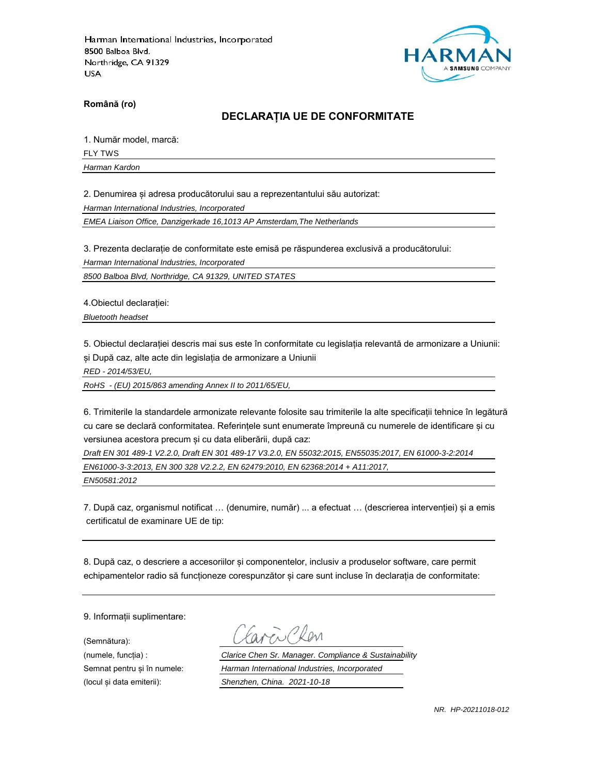

**Română (ro)**

### **DECLARAȚIA UE DE CONFORMITATE**

1. Număr model, marcă:

FLY TWS

*Harman Kardon*

2. Denumirea și adresa producătorului sau a reprezentantului său autorizat:

*Harman International Industries, Incorporated*

*EMEA Liaison Office, Danzigerkade 16,1013 AP Amsterdam,The Netherlands*

3. Prezenta declarație de conformitate este emisă pe răspunderea exclusivă a producătorului:

*Harman International Industries, Incorporated*

*8500 Balboa Blvd, Northridge, CA 91329, UNITED STATES*

4.Obiectul declarației:

*Bluetooth headset*

5. Obiectul declarației descris mai sus este în conformitate cu legislația relevantă de armonizare a Uniunii: și După caz, alte acte din legislația de armonizare a Uniunii

*RED - 2014/53/EU,*

*RoHS - (EU) 2015/863 amending Annex II to 2011/65/EU,*

6. Trimiterile la standardele armonizate relevante folosite sau trimiterile la alte specificații tehnice în legătură cu care se declară conformitatea. Referințele sunt enumerate împreună cu numerele de identificare și cu versiunea acestora precum și cu data eliberării, după caz:

*Draft EN 301 489-1 V2.2.0, Draft EN 301 489-17 V3.2.0, EN 55032:2015, EN55035:2017, EN 61000-3-2:2014 EN61000-3-3:2013, EN 300 328 V2.2.2, EN 62479:2010, EN 62368:2014 + A11:2017,* 

*EN50581:2012*

7. După caz, organismul notificat … (denumire, număr) ... a efectuat … (descrierea intervenției) și a emis certificatul de examinare UE de tip:

8. După caz, o descriere a accesoriilor și componentelor, inclusiv a produselor software, care permit echipamentelor radio să funcționeze corespunzător și care sunt incluse în declarația de conformitate:

9. Informații suplimentare:

(Semnătura):

(numele, funcția) : *Clarice Chen Sr. Manager. Compliance & Sustainability* Semnat pentru și în numele: *Harman International Industries, Incorporated* (locul și data emiterii): *Shenzhen, China. 2021-10-18*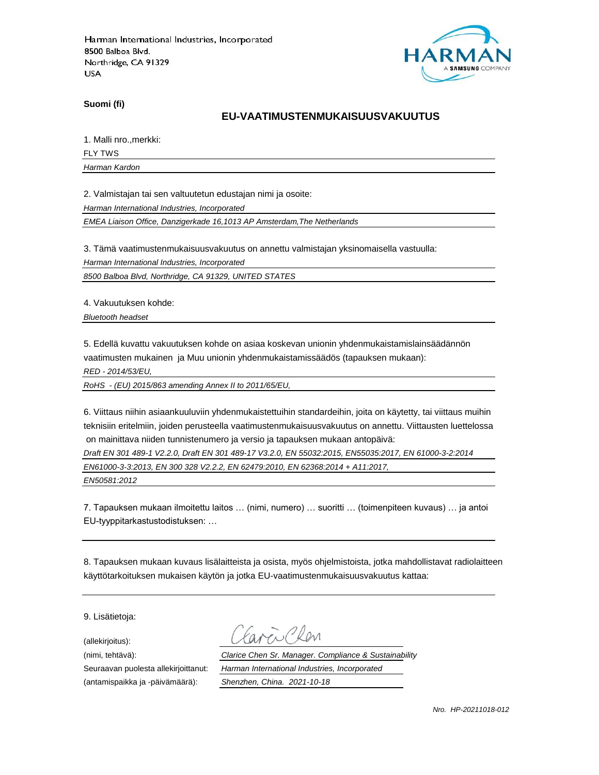

**Suomi (fi)**

#### **EU-VAATIMUSTENMUKAISUUSVAKUUTUS**

1. Malli nro.,merkki:

FLY TWS

*Harman Kardon*

2. Valmistajan tai sen valtuutetun edustajan nimi ja osoite:

*Harman International Industries, Incorporated*

*EMEA Liaison Office, Danzigerkade 16,1013 AP Amsterdam,The Netherlands*

3. Tämä vaatimustenmukaisuusvakuutus on annettu valmistajan yksinomaisella vastuulla:

*Harman International Industries, Incorporated*

*8500 Balboa Blvd, Northridge, CA 91329, UNITED STATES*

4. Vakuutuksen kohde:

*Bluetooth headset*

5. Edellä kuvattu vakuutuksen kohde on asiaa koskevan unionin yhdenmukaistamislainsäädännön vaatimusten mukainen ja Muu unionin yhdenmukaistamissäädös (tapauksen mukaan):

*RED - 2014/53/EU,*

*RoHS - (EU) 2015/863 amending Annex II to 2011/65/EU,*

6. Viittaus niihin asiaankuuluviin yhdenmukaistettuihin standardeihin, joita on käytetty, tai viittaus muihin teknisiin eritelmiin, joiden perusteella vaatimustenmukaisuusvakuutus on annettu. Viittausten luettelossa on mainittava niiden tunnistenumero ja versio ja tapauksen mukaan antopäivä:

*Draft EN 301 489-1 V2.2.0, Draft EN 301 489-17 V3.2.0, EN 55032:2015, EN55035:2017, EN 61000-3-2:2014*

*EN61000-3-3:2013, EN 300 328 V2.2.2, EN 62479:2010, EN 62368:2014 + A11:2017,* 

*EN50581:2012*

7. Tapauksen mukaan ilmoitettu laitos … (nimi, numero) … suoritti … (toimenpiteen kuvaus) … ja antoi EU-tyyppitarkastustodistuksen: …

8. Tapauksen mukaan kuvaus lisälaitteista ja osista, myös ohjelmistoista, jotka mahdollistavat radiolaitteen käyttötarkoituksen mukaisen käytön ja jotka EU-vaatimustenmukaisuusvakuutus kattaa:

9. Lisätietoja:

(allekirjoitus):

(antamispaikka ja -päivämäärä): *Shenzhen, China. 2021-10-18*

(nimi, tehtävä): *Clarice Chen Sr. Manager. Compliance & Sustainability* Seuraavan puolesta allekirjoittanut: *Harman International Industries, Incorporated*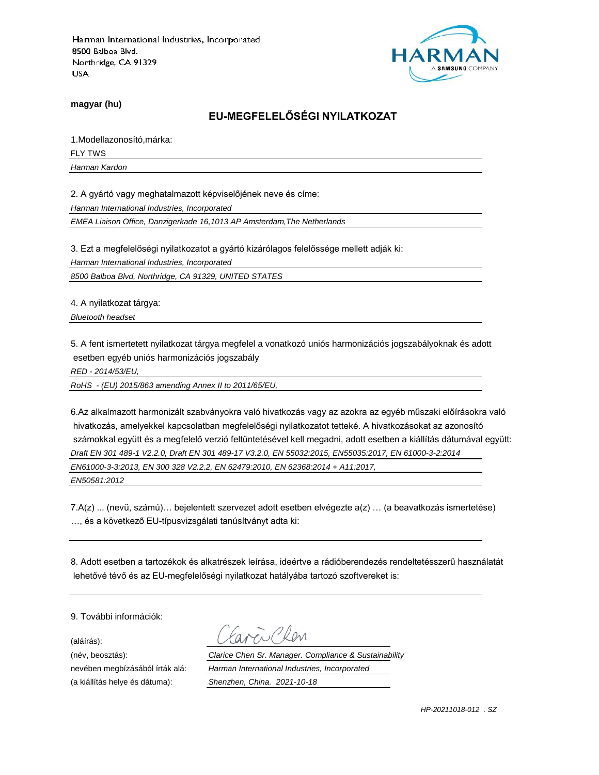

**magyar (hu)**

# **EU-MEGFELELŐSÉGI NYILATKOZAT**

1.Modellazonosító,márka: FLY TWS

*Harman Kardon*

2. A gyártó vagy meghatalmazott képviselőjének neve és címe:

*Harman International Industries, Incorporated*

*EMEA Liaison Office, Danzigerkade 16,1013 AP Amsterdam,The Netherlands*

3. Ezt a megfelelőségi nyilatkozatot a gyártó kizárólagos felelőssége mellett adják ki:

*Harman International Industries, Incorporated*

*8500 Balboa Blvd, Northridge, CA 91329, UNITED STATES*

4. A nyilatkozat tárgya:

*Bluetooth headset*

5. A fent ismertetett nyilatkozat tárgya megfelel a vonatkozó uniós harmonizációs jogszabályoknak és adott esetben egyéb uniós harmonizációs jogszabály

*RED - 2014/53/EU,*

*RoHS - (EU) 2015/863 amending Annex II to 2011/65/EU,*

6.Az alkalmazott harmonizált szabványokra való hivatkozás vagy az azokra az egyéb műszaki előírásokra való hivatkozás, amelyekkel kapcsolatban megfelelőségi nyilatkozatot tetteké. A hivatkozásokat az azonosító számokkal együtt és a megfelelő verzió feltüntetésével kell megadni, adott esetben a kiállítás dátumával együtt: *Draft EN 301 489-1 V2.2.0, Draft EN 301 489-17 V3.2.0, EN 55032:2015, EN55035:2017, EN 61000-3-2:2014 EN61000-3-3:2013, EN 300 328 V2.2.2, EN 62479:2010, EN 62368:2014 + A11:2017, EN50581:2012*

7.A(z) ... (nevű, számú)… bejelentett szervezet adott esetben elvégezte a(z) … (a beavatkozás ismertetése) …, és a következő EU-típusvizsgálati tanúsítványt adta ki:

8. Adott esetben a tartozékok és alkatrészek leírása, ideértve a rádióberendezés rendeltetésszerű használatát lehetővé tévő és az EU-megfelelőségi nyilatkozat hatályába tartozó szoftvereket is:

9. További információk:

(aláírás):

(név, beosztás): *Clarice Chen Sr. Manager. Compliance & Sustainability* nevében megbízásából írták alá: *Harman International Industries, Incorporated* (a kiállítás helye és dátuma): *Shenzhen, China. 2021-10-18*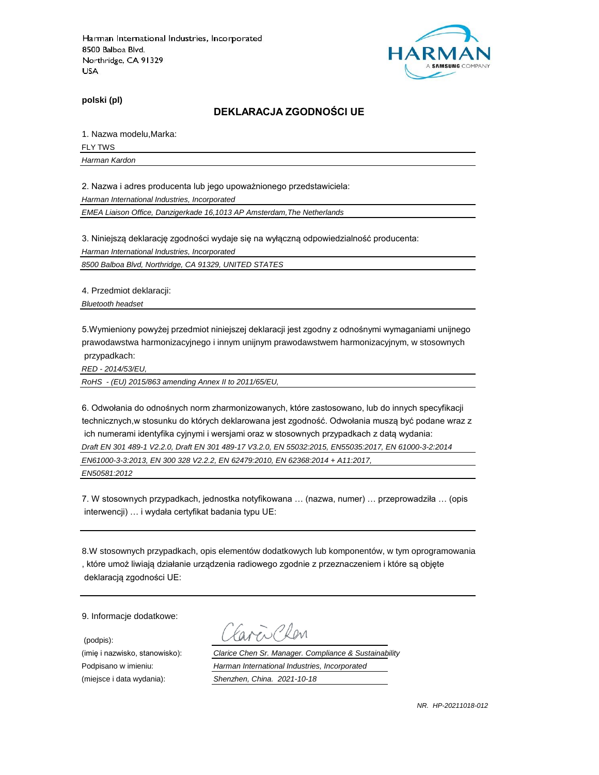

**polski (pl)**

#### **DEKLARACJA ZGODNOŚCI UE**

1. Nazwa modelu,Marka:

FLY TWS

*Harman Kardon*

2. Nazwa i adres producenta lub jego upoważnionego przedstawiciela:

*Harman International Industries, Incorporated*

*EMEA Liaison Office, Danzigerkade 16,1013 AP Amsterdam,The Netherlands*

3. Niniejszą deklarację zgodności wydaje się na wyłączną odpowiedzialność producenta:

*Harman International Industries, Incorporated*

*8500 Balboa Blvd, Northridge, CA 91329, UNITED STATES*

4. Przedmiot deklaracji:

*Bluetooth headset*

5.Wymieniony powyżej przedmiot niniejszej deklaracji jest zgodny z odnośnymi wymaganiami unijnego prawodawstwa harmonizacyjnego i innym unijnym prawodawstwem harmonizacyjnym, w stosownych przypadkach:

*RED - 2014/53/EU,*

*RoHS - (EU) 2015/863 amending Annex II to 2011/65/EU,*

6. Odwołania do odnośnych norm zharmonizowanych, które zastosowano, lub do innych specyfikacji technicznych,w stosunku do których deklarowana jest zgodność. Odwołania muszą być podane wraz z ich numerami identyfika cyjnymi i wersjami oraz w stosownych przypadkach z datą wydania: *Draft EN 301 489-1 V2.2.0, Draft EN 301 489-17 V3.2.0, EN 55032:2015, EN55035:2017, EN 61000-3-2:2014*

*EN61000-3-3:2013, EN 300 328 V2.2.2, EN 62479:2010, EN 62368:2014 + A11:2017,* 

*EN50581:2012*

7. W stosownych przypadkach, jednostka notyfikowana … (nazwa, numer) … przeprowadziła … (opis interwencji) … i wydała certyfikat badania typu UE:

8.W stosownych przypadkach, opis elementów dodatkowych lub komponentów, w tym oprogramowania , które umoż liwiają działanie urządzenia radiowego zgodnie z przeznaczeniem i które są objęte deklaracją zgodności UE:

9. Informacje dodatkowe:

(podpis):

 $\sum$ Plan

(imię i nazwisko, stanowisko): *Clarice Chen Sr. Manager. Compliance & Sustainability* Podpisano w imieniu: *Harman International Industries, Incorporated* (miejsce i data wydania): *Shenzhen, China. 2021-10-18*

*NR. HP-20211018-012*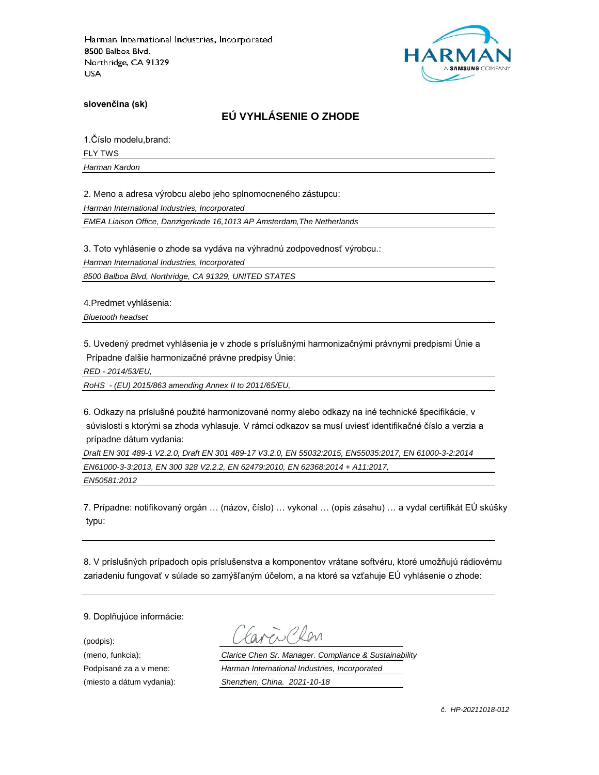

**slovenčina (sk)**

# **EÚ VYHLÁSENIE O ZHODE**

1.Číslo modelu,brand:

FLY TWS

*Harman Kardon*

2. Meno a adresa výrobcu alebo jeho splnomocneného zástupcu:

*Harman International Industries, Incorporated*

*EMEA Liaison Office, Danzigerkade 16,1013 AP Amsterdam,The Netherlands*

3. Toto vyhlásenie o zhode sa vydáva na výhradnú zodpovednosť výrobcu.:

*Harman International Industries, Incorporated*

*8500 Balboa Blvd, Northridge, CA 91329, UNITED STATES*

4.Predmet vyhlásenia:

*Bluetooth headset*

5. Uvedený predmet vyhlásenia je v zhode s príslušnými harmonizačnými právnymi predpismi Únie a Prípadne ďalšie harmonizačné právne predpisy Únie:

*RED - 2014/53/EU,*

*RoHS - (EU) 2015/863 amending Annex II to 2011/65/EU,*

6. Odkazy na príslušné použité harmonizované normy alebo odkazy na iné technické špecifikácie, v súvislosti s ktorými sa zhoda vyhlasuje. V rámci odkazov sa musí uviesť identifikačné číslo a verzia a prípadne dátum vydania:

*Draft EN 301 489-1 V2.2.0, Draft EN 301 489-17 V3.2.0, EN 55032:2015, EN55035:2017, EN 61000-3-2:2014 EN61000-3-3:2013, EN 300 328 V2.2.2, EN 62479:2010, EN 62368:2014 + A11:2017, EN50581:2012*

7. Prípadne: notifikovaný orgán … (názov, číslo) … vykonal … (opis zásahu) … a vydal certifikát EÚ skúšky typu:

8. V príslušných prípadoch opis príslušenstva a komponentov vrátane softvéru, ktoré umožňujú rádiovému zariadeniu fungovať v súlade so zamýšľaným účelom, a na ktoré sa vzťahuje EÚ vyhlásenie o zhode:

9. Doplňujúce informácie:

(podpis):

(meno, funkcia): *Clarice Chen Sr. Manager. Compliance & Sustainability* Podpísané za a v mene: *Harman International Industries, Incorporated* (miesto a dátum vydania): *Shenzhen, China. 2021-10-18*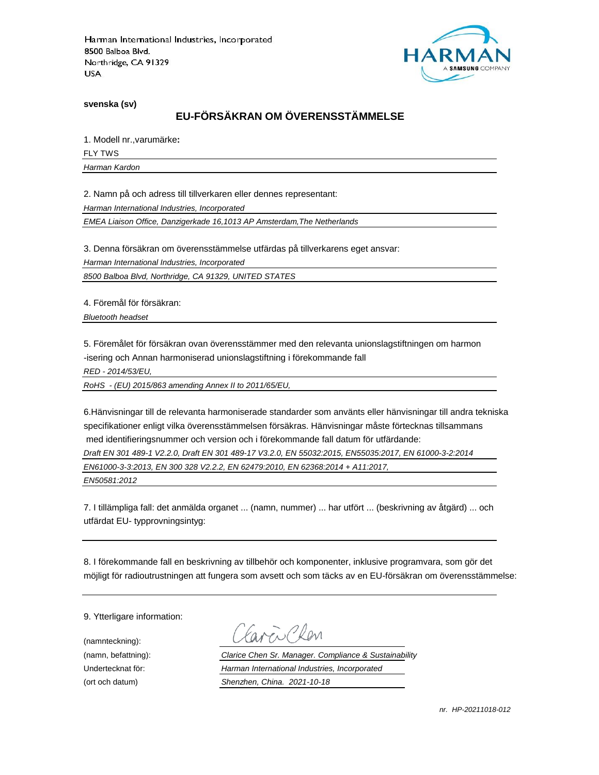

**svenska (sv)**

# **EU-FÖRSÄKRAN OM ÖVERENSSTÄMMELSE**

1. Modell nr.,varumärke**:**

FLY TWS

*Harman Kardon*

2. Namn på och adress till tillverkaren eller dennes representant:

*Harman International Industries, Incorporated*

*EMEA Liaison Office, Danzigerkade 16,1013 AP Amsterdam,The Netherlands*

3. Denna försäkran om överensstämmelse utfärdas på tillverkarens eget ansvar:

*Harman International Industries, Incorporated*

*8500 Balboa Blvd, Northridge, CA 91329, UNITED STATES*

4. Föremål för försäkran:

*Bluetooth headset*

5. Föremålet för försäkran ovan överensstämmer med den relevanta unionslagstiftningen om harmon -isering och Annan harmoniserad unionslagstiftning i förekommande fall

*RED - 2014/53/EU,*

*RoHS - (EU) 2015/863 amending Annex II to 2011/65/EU,*

6.Hänvisningar till de relevanta harmoniserade standarder som använts eller hänvisningar till andra tekniska specifikationer enligt vilka överensstämmelsen försäkras. Hänvisningar måste förtecknas tillsammans med identifieringsnummer och version och i förekommande fall datum för utfärdande:

*Draft EN 301 489-1 V2.2.0, Draft EN 301 489-17 V3.2.0, EN 55032:2015, EN55035:2017, EN 61000-3-2:2014*

*EN61000-3-3:2013, EN 300 328 V2.2.2, EN 62479:2010, EN 62368:2014 + A11:2017,* 

*EN50581:2012*

7. I tillämpliga fall: det anmälda organet ... (namn, nummer) ... har utfört ... (beskrivning av åtgärd) ... och utfärdat EU- typprovningsintyg:

8. I förekommande fall en beskrivning av tillbehör och komponenter, inklusive programvara, som gör det möjligt för radioutrustningen att fungera som avsett och som täcks av en EU-försäkran om överensstämmelse:

9. Ytterligare information:

(namnteckning):

EN Plen

(namn, befattning): *Clarice Chen Sr. Manager. Compliance & Sustainability* Undertecknat för: *Harman International Industries, Incorporated* (ort och datum) *Shenzhen, China. 2021-10-18*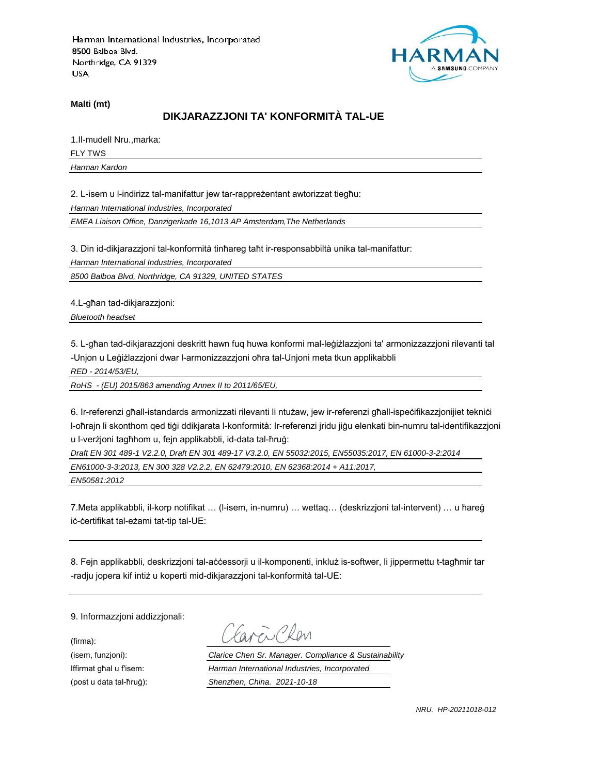

**Malti (mt)**

### **DIKJARAZZJONI TA' KONFORMITÀ TAL-UE**

1.Il-mudell Nru.,marka: FLY TWS *Harman Kardon*

2. L-isem u l-indirizz tal-manifattur jew tar-rappreżentant awtorizzat tiegħu:

*Harman International Industries, Incorporated*

*EMEA Liaison Office, Danzigerkade 16,1013 AP Amsterdam,The Netherlands*

3. Din id-dikjarazzjoni tal-konformità tinħareg taħt ir-responsabbiltà unika tal-manifattur:

*Harman International Industries, Incorporated*

*8500 Balboa Blvd, Northridge, CA 91329, UNITED STATES*

4.L-għan tad-dikjarazzjoni:

*Bluetooth headset*

5. L-għan tad-dikjarazzjoni deskritt hawn fuq huwa konformi mal-leġiżlazzjoni ta' armonizzazzjoni rilevanti tal -Unjon u Leġiżlazzjoni dwar l-armonizzazzjoni oħra tal-Unjoni meta tkun applikabbli

*RED - 2014/53/EU,*

*RoHS - (EU) 2015/863 amending Annex II to 2011/65/EU,*

6. Ir-referenzi għall-istandards armonizzati rilevanti li ntużaw, jew ir-referenzi għall-ispeċifikazzjonijiet tekniċi l-oħrajn li skonthom qed tiġi ddikjarata l-konformità: Ir-referenzi jridu jiġu elenkati bin-numru tal-identifikazzjoni u l-verżjoni tagħhom u, fejn applikabbli, id-data tal-ħruġ:

*Draft EN 301 489-1 V2.2.0, Draft EN 301 489-17 V3.2.0, EN 55032:2015, EN55035:2017, EN 61000-3-2:2014 EN61000-3-3:2013, EN 300 328 V2.2.2, EN 62479:2010, EN 62368:2014 + A11:2017,* 

*EN50581:2012*

7.Meta applikabbli, il-korp notifikat … (l-isem, in-numru) … wettaq… (deskrizzjoni tal-intervent) … u ħareġ iċ-ċertifikat tal-eżami tat-tip tal-UE:

8. Fejn applikabbli, deskrizzjoni tal-aċċessorji u il-komponenti, inkluż is-softwer, li jippermettu t-tagħmir tar -radju jopera kif intiż u koperti mid-dikjarazzjoni tal-konformità tal-UE:

9. Informazzjoni addizzjonali:

(firma):

EN CRON

(isem, funzjoni): *Clarice Chen Sr. Manager. Compliance & Sustainability* Iffirmat għal u f'isem: *Harman International Industries, Incorporated* (post u data tal-ħruġ): *Shenzhen, China. 2021-10-18*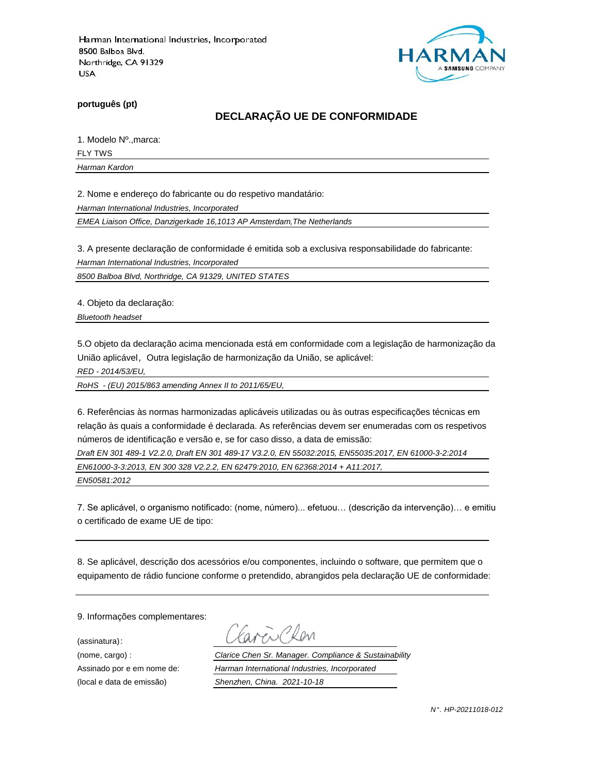

**português (pt)**

### **DECLARAÇÃO UE DE CONFORMIDADE**

1. Modelo Nº.,marca:

FLY TWS

*Harman Kardon*

2. Nome e endereço do fabricante ou do respetivo mandatário:

*Harman International Industries, Incorporated*

*EMEA Liaison Office, Danzigerkade 16,1013 AP Amsterdam,The Netherlands*

3. A presente declaração de conformidade é emitida sob a exclusiva responsabilidade do fabricante:

*Harman International Industries, Incorporated*

*8500 Balboa Blvd, Northridge, CA 91329, UNITED STATES*

4. Objeto da declaração:

*Bluetooth headset*

5.O objeto da declaração acima mencionada está em conformidade com a legislação de harmonização da União aplicável, Outra legislação de harmonização da União, se aplicável:

*RED - 2014/53/EU,*

*RoHS - (EU) 2015/863 amending Annex II to 2011/65/EU,*

6. Referências às normas harmonizadas aplicáveis utilizadas ou às outras especificações técnicas em relação às quais a conformidade é declarada. As referências devem ser enumeradas com os respetivos números de identificação e versão e, se for caso disso, a data de emissão:

*Draft EN 301 489-1 V2.2.0, Draft EN 301 489-17 V3.2.0, EN 55032:2015, EN55035:2017, EN 61000-3-2:2014 EN61000-3-3:2013, EN 300 328 V2.2.2, EN 62479:2010, EN 62368:2014 + A11:2017,* 

*EN50581:2012*

7. Se aplicável, o organismo notificado: (nome, número)... efetuou… (descrição da intervenção)… e emitiu o certificado de exame UE de tipo:

8. Se aplicável, descrição dos acessórios e/ou componentes, incluindo o software, que permitem que o equipamento de rádio funcione conforme o pretendido, abrangidos pela declaração UE de conformidade:

9. Informações complementares:

(assinatura):

ENPROM

(nome, cargo) : *Clarice Chen Sr. Manager. Compliance & Sustainability* Assinado por e em nome de: *Harman International Industries, Incorporated* (local e data de emissão) *Shenzhen, China. 2021-10-18*